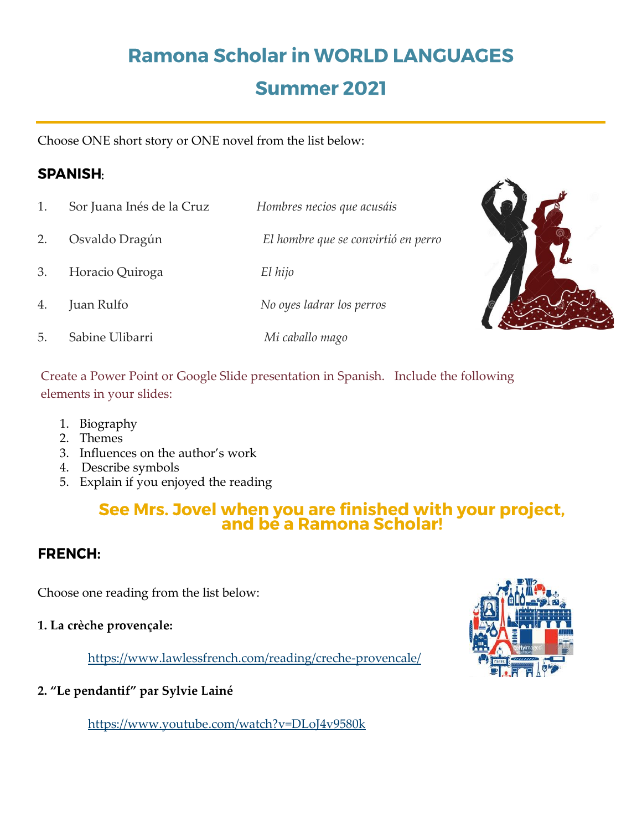## **Ramona Scholar in WORLD LANGUAGES Summer 2021**

Choose ONE short story or ONE novel from the list below:

#### **SPANISH:**

1. Sor Juana Inés de la Cruz *Hombres necios que acusáis* 2. Osvaldo Dragún *El hombre que se convirtió en perro* 3. Horacio Quiroga *El hijo* 4. Juan Rulfo *No oyes ladrar los perros* 5. Sabine Ulibarri *Mi caballo mago*



Create a Power Point or Google Slide presentation in Spanish. Include the following elements in your slides:

- 1. Biography
- 2. Themes
- 3. Influences on the author's work
- 4. Describe symbols
- 5. Explain if you enjoyed the reading

# See Mrs. Jovel when you are finished with your project,<br>and be a Ramona Scholar!

### **FRENCH:**

Choose one reading from the list below:

**1. La crèche provençale:**

<https://www.lawlessfrench.com/reading/creche-provencale/>

**2. "Le pendantif" par Sylvie Lainé**

<https://www.youtube.com/watch?v=DLoJ4v9580k>